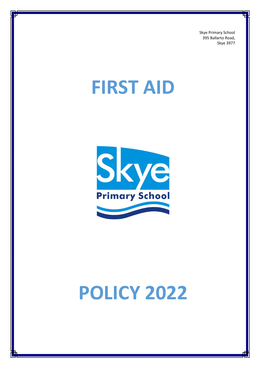Skye Primary School 395 Ballarto Road, Skye 3977

# **FIRST AID**



# **POLICY 2022**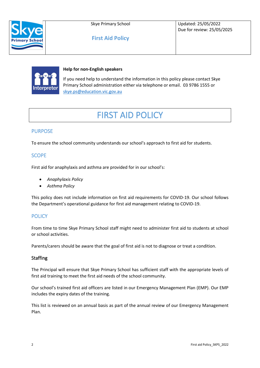

Skye Primary School

**First Aid Policy**

Updated: 25/05/2022 Due for review: 25/05/2025



#### **Help for non-English speakers**

If you need help to understand the information in this policy please contact Skye Primary School administration either via telephone or email. 03 9786 1555 or [skye.ps@education.vic.gov.au](mailto:skye.ps@education.vic.gov.au)

# FIRST AID POLICY

# PURPOSE

To ensure the school community understands our school's approach to first aid for students.

### **SCOPE**

First aid for anaphylaxis and asthma are provided for in our school's:

- *Anaphylaxis Policy*
- *Asthma Policy*

This policy does not include information on first aid requirements for COVID-19. Our school follows the Department's operational guidance for first aid management relating to COVID-19.

# **POLICY**

From time to time Skye Primary School staff might need to administer first aid to students at school or school activities.

Parents/carers should be aware that the goal of first aid is not to diagnose or treat a condition.

#### **Staffing**

The Principal will ensure that Skye Primary School has sufficient staff with the appropriate levels of first aid training to meet the first aid needs of the school community.

Our school's trained first aid officers are listed in our Emergency Management Plan (EMP). Our EMP includes the expiry dates of the training.

This list is reviewed on an annual basis as part of the annual review of our Emergency Management Plan.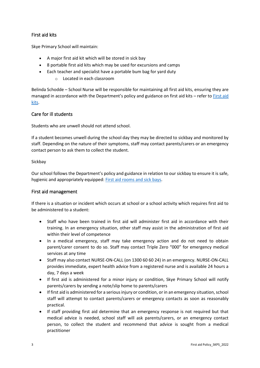# First aid kits

Skye Primary School will maintain:

- A major first aid kit which will be stored in sick bay
- 8 portable first aid kits which may be used for excursions and camps
- Each teacher and specialist have a portable bum bag for yard duty
	- o Located in each classroom

Belinda Schodde – School Nurse will be responsible for maintaining all first aid kits, ensuring they are managed in accordance with the Department's policy and guidance on first aid kits – refer to [First aid](https://www2.education.vic.gov.au/pal/first-aid-students-and-staff/guidance/first-aid-kits)  [kits.](https://www2.education.vic.gov.au/pal/first-aid-students-and-staff/guidance/first-aid-kits)

#### Care for ill students

Students who are unwell should not attend school.

If a student becomes unwell during the school day they may be directed to sickbay and monitored by staff. Depending on the nature of their symptoms, staff may contact parents/carers or an emergency contact person to ask them to collect the student.

#### Sickbay

Our school follows the Department's policy and guidance in relation to our sickbay to ensure it is safe, hygienic and appropriately equipped[: First aid rooms and sick bays.](https://www2.education.vic.gov.au/pal/first-aid-students-and-staff/guidance/first-aid-rooms-and-sick-bays)

#### First aid management

If there is a situation or incident which occurs at school or a school activity which requires first aid to be administered to a student:

- Staff who have been trained in first aid will administer first aid in accordance with their training. In an emergency situation, other staff may assist in the administration of first aid within their level of competence
- In a medical emergency, staff may take emergency action and do not need to obtain parent/carer consent to do so. Staff may contact Triple Zero "000" for emergency medical services at any time
- Staff may also contact NURSE-ON-CALL (on 1300 60 60 24) in an emergency. NURSE-ON-CALL provides immediate, expert health advice from a registered nurse and is available 24 hours a day, 7 days a week
- If first aid is administered for a minor injury or condition, Skye Primary School will notify parents/carers by sending a note/slip home to parents/carers
- If first aid is administered for a serious injury or condition, or in an emergency situation, school staff will attempt to contact parents/carers or emergency contacts as soon as reasonably practical.
- If staff providing first aid determine that an emergency response is not required but that medical advice is needed, school staff will ask parents/carers, or an emergency contact person, to collect the student and recommend that advice is sought from a medical practitioner